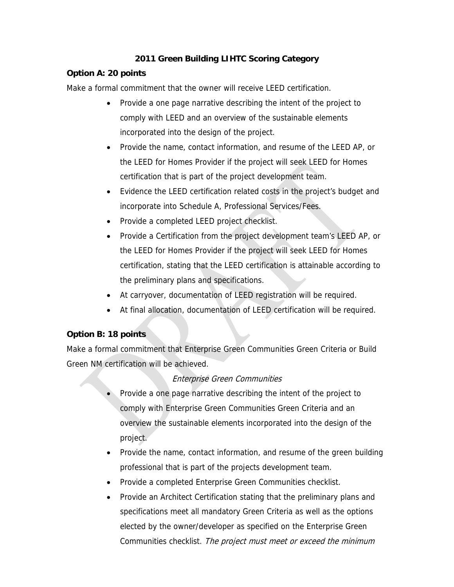### **2011 Green Building LIHTC Scoring Category**

### **Option A: 20 points**

Make a formal commitment that the owner will receive LEED certification.

- Provide a one page narrative describing the intent of the project to comply with LEED and an overview of the sustainable elements incorporated into the design of the project.
- Provide the name, contact information, and resume of the LEED AP, or the LEED for Homes Provider if the project will seek LEED for Homes certification that is part of the project development team.
- Evidence the LEED certification related costs in the project's budget and incorporate into Schedule A, Professional Services/Fees.
- Provide a completed LEED project checklist.
- Provide a Certification from the project development team's LEED AP, or the LEED for Homes Provider if the project will seek LEED for Homes certification, stating that the LEED certification is attainable according to the preliminary plans and specifications.
- At carryover, documentation of LEED registration will be required.
- At final allocation, documentation of LEED certification will be required.

# **Option B: 18 points**

Make a formal commitment that Enterprise Green Communities Green Criteria or Build Green NM certification will be achieved.

# Enterprise Green Communities

- Provide a one page narrative describing the intent of the project to comply with Enterprise Green Communities Green Criteria and an overview the sustainable elements incorporated into the design of the project.
- Provide the name, contact information, and resume of the green building professional that is part of the projects development team.
- Provide a completed Enterprise Green Communities checklist.
- Provide an Architect Certification stating that the preliminary plans and specifications meet all mandatory Green Criteria as well as the options elected by the owner/developer as specified on the Enterprise Green Communities checklist. The project must meet or exceed the minimum